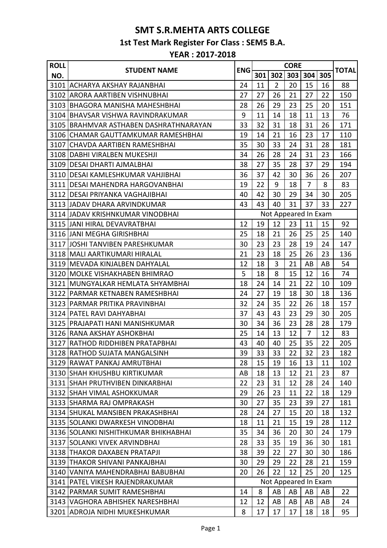## **SMT S.R.MEHTA ARTS COLLEGE 1st Test Mark Register For Class : SEM5 B.A.**

## **YEAR : 2017-2018**

| <b>ROLL</b> | <b>STUDENT NAME</b>                    | <b>ENG</b> |     |                | <b>CORE</b> |                      |     | <b>TOTAL</b> |
|-------------|----------------------------------------|------------|-----|----------------|-------------|----------------------|-----|--------------|
| NO.         |                                        |            | 301 | 302            | 303         | 304                  | 305 |              |
| 3101        | ACHARYA AKSHAY RAJANBHAI               | 24         | 11  | $\overline{2}$ | 20          | 15                   | 16  | 88           |
| 3102        | ARORA AARTIBEN VISHNUBHAI              | 27         | 27  | 26             | 21          | 27                   | 22  | 150          |
|             | 3103 IBHAGORA MANISHA MAHESHBHAI       | 28         | 26  | 29             | 23          | 25                   | 20  | 151          |
|             | 3104 BHAVSAR VISHWA RAVINDRAKUMAR      | 9          | 11  | 14             | 18          | 11                   | 13  | 76           |
|             | 3105 BRAHMVAR ASTHABEN DASHRATHNARAYAN | 33         | 32  | 31             | 18          | 31                   | 26  | 171          |
| 3106        | <b>CHAMAR GAUTTAMKUMAR RAMESHBHAI</b>  | 19         | 14  | 21             | 16          | 23                   | 17  | 110          |
|             | 3107 CHAVDA AARTIBEN RAMESHBHAI        | 35         | 30  | 33             | 24          | 31                   | 28  | 181          |
|             | 3108 DABHI VIRALBEN MUKESHJI           | 34         | 26  | 28             | 24          | 31                   | 23  | 166          |
|             | 3109 IDESAI DHARTI AJMALBHAI           | 38         | 27  | 35             | 28          | 37                   | 29  | 194          |
|             | 3110   DESAI KAMLESHKUMAR VAHJIBHAI    | 36         | 37  | 42             | 30          | 36                   | 26  | 207          |
|             | 3111 DESAI MAHENDRA HARGOVANBHAI       | 19         | 22  | 9              | 18          | $\overline{7}$       | 8   | 83           |
|             | 3112 DESAI PRIYANKA VAGHAJIBHAI        | 40         | 42  | 30             | 29          | 34                   | 30  | 205          |
|             | 3113 JJADAV DHARA ARVINDKUMAR          | 43         | 43  | 40             | 31          | 37                   | 33  | 227          |
|             | 3114 JADAV KRISHNKUMAR VINODBHAI       |            |     |                |             | Not Appeared In Exam |     |              |
|             | 3115 JANI HIRAL DEVAVRATBHAI           | 12         | 19  | 12             | 23          | 11                   | 15  | 92           |
|             | 3116 JJANI MEGHA GIRISHBHAI            | 25         | 18  | 21             | 26          | 25                   | 25  | 140          |
|             | 3117 JJOSHI TANVIBEN PARESHKUMAR       | 30         | 23  | 23             | 28          | 19                   | 24  | 147          |
|             | 3118 IMALI AARTIKUMARI HIRALAL         | 21         | 23  | 18             | 25          | 26                   | 23  | 136          |
|             | 3119 MEVADA KINJALBEN DAHYALAL         | 12         | 18  | 3              | 21          | AB                   | AB  | 54           |
|             | 3120 MOLKE VISHAKHABEN BHIMRAO         | 5          | 18  | 8              | 15          | 12                   | 16  | 74           |
|             | 3121 MUNGYALKAR HEMLATA SHYAMBHAI      | 18         | 24  | 14             | 21          | 22                   | 10  | 109          |
|             | 3122   PARMAR KETNABEN RAMESHBHAI      | 24         | 27  | 19             | 18          | 30                   | 18  | 136          |
|             | 3123   PARMAR PRITIKA PRAVINBHAI       | 32         | 24  | 35             | 22          | 26                   | 18  | 157          |
|             | 3124 PATEL RAVI DAHYABHAI              | 37         | 43  | 43             | 23          | 29                   | 30  | 205          |
|             | 3125   PRAJAPATI HANI MANISHKUMAR      | 30         | 34  | 36             | 23          | 28                   | 28  | 179          |
|             | 3126 RANA AKSHAY ASHOKBHAI             | 25         | 14  | 13             | 12          | $\overline{7}$       | 12  | 83           |
|             | 3127 RATHOD RIDDHIBEN PRATAPBHAI       | 43         | 40  | 40             | 25          | 35                   | 22  | 205          |
|             | 3128 RATHOD SUJATA MANGALSINH          | 39         | 33  | 33             | 22          | 32                   | 23  | 182          |
|             | 3129 RAWAT PANKAJ AMRUTBHAI            | 28         | 15  | 19             | 16          | 13                   | 11  | 102          |
|             | 3130 SHAH KHUSHBU KIRTIKUMAR           | AB         | 18  | 13             | 12          | 21                   | 23  | 87           |
|             | 3131 ISHAH PRUTHVIBEN DINKARBHAI       | 22         | 23  | 31             | 12          | 28                   | 24  | 140          |
|             | 3132 SHAH VIMAL ASHOKKUMAR             | 29         | 26  | 23             | 11          | 22                   | 18  | 129          |
|             | 3133 SHARMA RAJ OMPRAKASH              | 30         | 27  | 35             | 23          | 39                   | 27  | 181          |
|             | 3134 ISHUKAL MANSIBEN PRAKASHBHAI      | 28         | 24  | 27             | 15          | 20                   | 18  | 132          |
|             | 3135 SOLANKI DWARKESH VINODBHAI        | 18         | 11  | 21             | 15          | 19                   | 28  | 112          |
|             | 3136 SOLANKI NISHITHKUMAR BHIKHABHAI   | 35         | 34  | 36             | 20          | 30                   | 24  | 179          |
|             | 3137 SOLANKI VIVEK ARVINDBHAI          | 28         | 33  | 35             | 19          | 36                   | 30  | 181          |
|             | 3138 THAKOR DAXABEN PRATAPJI           | 38         | 39  | 22             | 27          | 30                   | 30  | 186          |
|             | 3139 THAKOR SHIVANI PANKAJBHAI         | 30         | 29  | 29             | 22          | 28                   | 21  | 159          |
|             | 3140 VANIYA MAHENDRABHAI BABUBHAI      | 20         | 26  | 22             | 12          | 25                   | 20  | 125          |
|             | 3141   PATEL VIKESH RAJENDRAKUMAR      |            |     |                |             | Not Appeared In Exam |     |              |
|             | 3142 PARMAR SUMIT RAMESHBHAI           | 14         | 8   | AB             | AB          | AB                   | AB  | 22           |
|             | 3143 VAGHORA ABHISHEK NARESHBHAI       | 12         | 12  | AB             | AB          | AB                   | AB  | 24           |
|             | 3201 ADROJA NIDHI MUKESHKUMAR          | 8          | 17  | 17             | 17          | 18                   | 18  | 95           |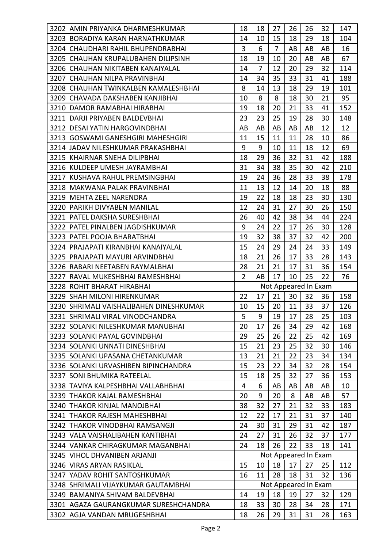| 3202 AMIN PRIYANKA DHARMESHKUMAR        | 18             | 18             | 27             | 26 | 26                   | 32 | 147 |
|-----------------------------------------|----------------|----------------|----------------|----|----------------------|----|-----|
| 3203 BORADIYA KARAN HARNATHKUMAR        | 14             | 10             | 15             | 18 | 29                   | 18 | 104 |
| 3204 CHAUDHARI RAHIL BHUPENDRABHAI      | 3              | 6              | $\overline{7}$ | AB | AB                   | AB | 16  |
| 3205 CHAUHAN KRUPALUBAHEN DILIPSINH     | 18             | 19             | 10             | 20 | AB                   | AB | 67  |
| 3206 CHAUHAN NIKITABEN KANAIYALAL       | 14             | $\overline{7}$ | 12             | 20 | 29                   | 32 | 114 |
| 3207 ICHAUHAN NILPA PRAVINBHAI          | 14             | 34             | 35             | 33 | 31                   | 41 | 188 |
| 3208 CHAUHAN TWINKALBEN KAMALESHBHAI    | 8              | 14             | 13             | 18 | 29                   | 19 | 101 |
| 3209 CHAVADA DAKSHABEN KANJIBHAI        | 10             | 8              | 8              | 18 | 30                   | 21 | 95  |
| 3210 DAMOR RAMABHAI HIRABHAI            | 19             | 18             | 20             | 21 | 33                   | 41 | 152 |
| 3211 DARJI PRIYABEN BALDEVBHAI          | 23             | 23             | 25             | 19 | 28                   | 30 | 148 |
| 3212   DESAI YATIN HARGOVINDBHAI        | AB             | AB             | AB             | AB | AB                   | 12 | 12  |
| 3213 GOSWAMI GANESHGIRI MAHESHGIRI      | 11             | 15             | 11             | 11 | 28                   | 10 | 86  |
| 3214 JJADAV NILESHKUMAR PRAKASHBHAI     | 9              | 9              | 10             | 11 | 18                   | 12 | 69  |
| 3215 KHAIRNAR SNEHA DILIPBHAI           | 18             | 29             | 36             | 32 | 31                   | 42 | 188 |
| 3216 KULDEEP UMESH JAYRAMBHAI           | 31             | 34             | 38             | 35 | 30                   | 42 | 210 |
| 3217 KUSHAVA RAHUL PREMSINGBHAI         | 19             | 24             | 36             | 28 | 33                   | 38 | 178 |
| 3218 MAKWANA PALAK PRAVINBHAI           | 11             | 13             | 12             | 14 | 20                   | 18 | 88  |
| 3219 MEHTA ZEEL NARENDRA                | 19             | 22             | 18             | 18 | 23                   | 30 | 130 |
| 3220 PARIKH DIVYABEN MANILAL            | 12             | 24             | 31             | 27 | 30                   | 26 | 150 |
| 3221   PATEL DAKSHA SURESHBHAI          | 26             | 40             | 42             | 38 | 34                   | 44 | 224 |
| 3222   PATEL PINALBEN JAGDISHKUMAR      | 9              | 24             | 22             | 17 | 26                   | 30 | 128 |
| 3223 PATEL POOJA BHARATBHAI             | 19             | 32             | 38             | 37 | 32                   | 42 | 200 |
| 3224 PRAJAPATI KIRANBHAI KANAIYALAL     | 15             | 24             | 29             | 24 | 24                   | 33 | 149 |
| 3225   PRAJAPATI MAYURI ARVINDBHAI      | 18             | 21             | 26             | 17 | 33                   | 28 | 143 |
| 3226 RABARI NEETABEN RAYMALBHAI         | 28             | 21             | 21             | 17 | 31                   | 36 | 154 |
| 3227 RAVAL MUKESHBHAI RAMESHBHAI        | $\overline{2}$ | AB             | 17             | 10 | 25                   | 22 | 76  |
| 3228 ROHIT BHARAT HIRABHAI              |                |                |                |    | Not Appeared In Exam |    |     |
| 3229 SHAH MILONI HIRENKUMAR             | 22             | 17             | 21             | 30 | 32                   | 36 | 158 |
| 3230 SHRIMALI VAISHALIBAHEN DINESHKUMAR | 10             | 15             | 20             | 11 | 33                   | 37 | 126 |
|                                         |                |                |                |    |                      |    |     |
| 3231  SHRIMALI VIRAL VINODCHANDRA       | 5              | 9              | 19             | 17 | 28                   | 25 | 103 |
| 3232 SOLANKI NILESHKUMAR MANUBHAI       | 20             | 17             | 26             | 34 | 29                   | 42 | 168 |
| 3233 SOLANKI PAYAL GOVINDBHAI           | 29             | 25             | 26             | 22 | 25                   | 42 | 169 |
| 3234 SOLANKI UNNATI DINESHBHAI          | 15             | 21             | 23             | 25 | 32                   | 30 | 146 |
| 3235 SOLANKI UPASANA CHETANKUMAR        | 13             | 21             | 21             | 22 | 23                   | 34 | 134 |
| 3236 SOLANKI URVASHIBEN BIPINCHANDRA    | 15             | 23             | 22             | 34 | 32                   | 28 | 154 |
| 3237 SONI BHUMIKA RATEELAL              | 15             | 18             | 25             | 32 | 27                   | 36 | 153 |
| 3238 TAVIYA KALPESHBHAI VALLABHBHAI     | 4              | 6              | AB             | AB | AB                   | AB | 10  |
| 3239 THAKOR KAJAL RAMESHBHAI            | 20             | 9              | 20             | 8  | AB                   | AB | 57  |
| 3240 THAKOR KINJAL MANOJBHAI            | 38             | 32             | 27             | 21 | 32                   | 33 | 183 |
| 3241   THAKOR RAJESH MAHESHBHAI         | 12             | 22             | 17             | 21 | 31                   | 37 | 140 |
| 3242 THAKOR VINODBHAI RAMSANGJI         | 24             | 30             | 31             | 29 | 31                   | 42 | 187 |
| 3243 VALA VAISHALIBAHEN KANTIBHAI       | 24             | 27             | 31             | 26 | 32                   | 37 | 177 |
| 3244 JVANKAR CHIRAGKUMAR MAGANBHAI      | 24             | 18             | 26             | 22 | 33                   | 18 | 141 |
| 3245 VIHOL DHVANIBEN ARJANJI            |                |                |                |    | Not Appeared In Exam |    |     |
| 3246 VIRAS ARYAN RASIKLAL               | 15             | 10             | 18             | 17 | 27                   | 25 | 112 |
| 3247 YADAV ROHIT SANTOSHKUMAR           | 16             | 11             | 28             | 18 | 31                   | 32 | 136 |
| 3248 SHRIMALI VIJAYKUMAR GAUTAMBHAI     |                |                |                |    | Not Appeared In Exam |    |     |
| 3249 BAMANIYA SHIVAM BALDEVBHAI         | 14             | 19             | 18             | 19 | 27                   | 32 | 129 |
| 3301   AGAZA GAURANGKUMAR SURESHCHANDRA | 18             | 33             | 30             | 28 | 34                   | 28 | 171 |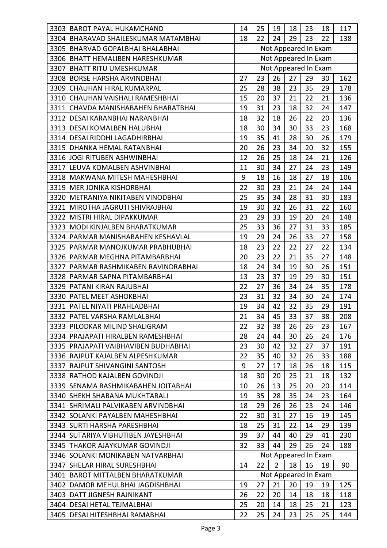| 3303 BAROT PAYAL HUKAMCHAND          | 14 | 25 | 19             | 18 | 23                   | 18              | 117 |
|--------------------------------------|----|----|----------------|----|----------------------|-----------------|-----|
| 3304 BHARAVAD SHAILESKUMAR MATAMBHAI | 18 | 22 | 24             | 29 | 23                   | 22              | 138 |
| 3305 BHARVAD GOPALBHAI BHALABHAI     |    |    |                |    | Not Appeared In Exam |                 |     |
| 3306 BHATT HEMALIBEN HARESHKUMAR     |    |    |                |    | Not Appeared In Exam |                 |     |
| 3307 BHATT RITU UMESHKUMAR           |    |    |                |    | Not Appeared In Exam |                 |     |
| 3308 BORSE HARSHA ARVINDBHAI         | 27 | 23 | 26             | 27 | 29                   | 30              | 162 |
| 3309 CHAUHAN HIRAL KUMARPAL          | 25 | 28 | 38             | 23 | 35                   | 29              | 178 |
| 3310 CHAUHAN VAISHALI RAMESHBHAI     | 15 | 20 | 37             | 21 | 22                   | 21              | 136 |
| 3311 CHAVDA MANISHABAHEN BHARATBHAI  | 19 | 31 | 23             | 18 | 32                   | 24              | 147 |
| 3312 DESAI KARANBHAI NARANBHAI       | 18 | 32 | 18             | 26 | 22                   | 20              | 136 |
| 3313 DESAI KOMALBEN HALUBHAI         | 18 | 30 | 34             | 30 | 33                   | 23              | 168 |
| 3314 DESAI RIDDHI LAGADHIRBHAI       | 19 | 35 | 41             | 28 | 30                   | 26              | 179 |
| 3315 DHANKA HEMAL RATANBHAI          | 20 | 26 | 23             | 34 | 20                   | 32              | 155 |
| 3316 JOGI RITUBEN ASHWINBHAI         | 12 | 26 | 25             | 18 | 24                   | 21              | 126 |
| 3317 LEUVA KOMALBEN ASHVINBHAI       | 11 | 30 | 34             | 27 | 24                   | 23              | 149 |
| 3318 MAKWANA MITESH MAHESHBHAI       | 9  | 18 | 16             | 18 | 27                   | 18              | 106 |
| 3319 MER JONIKA KISHORBHAI           | 22 | 30 | 23             | 21 | 24                   | 24              | 144 |
| 3320   METRANIYA NIKITABEN VINODBHAI | 25 | 35 | 34             | 28 | 31                   | 30              | 183 |
| 3321 MIROTHA JAGRUTI SHIVRAJBHAI     | 19 | 30 | 32             | 26 | 31                   | 22              | 160 |
| 3322 MISTRI HIRAL DIPAKKUMAR         | 23 | 29 | 33             | 19 | 20                   | 24              | 148 |
| 3323   MODI KINJALBEN BHARATKUMAR    | 25 | 33 | 36             | 27 | 31                   | 33              | 185 |
| 3324 PARMAR MANISHABAHEN KESHAVLAL   | 19 | 29 | 24             | 26 | 33                   | 27              | 158 |
| 3325 PARMAR MANOJKUMAR PRABHUBHAI    | 18 | 23 | 22             | 22 | 27                   | 22              | 134 |
| 3326   PARMAR MEGHNA PITAMBARBHAI    | 20 | 23 | 22             | 21 | 35                   | 27              | 148 |
| 3327 PARMAR RASHMIKABEN RAVINDRABHAI | 18 | 24 | 34             | 19 | 30                   | 26              | 151 |
| 3328 PARMAR SAPNA PITAMBARBHAI       | 13 | 23 | 37             | 19 | 29                   | 30              | 151 |
| 3329 PATANI KIRAN RAJUBHAI           | 22 | 27 | 36             | 34 | 24                   | 35              | 178 |
| 3330 PATEL MEET ASHOKBHAI            | 23 | 31 | 32             | 34 | 30                   | 24              | 174 |
| 3331 PATEL NIYATI PRAHLADBHAI        | 19 | 34 | 42             | 32 | 35                   | 29              | 191 |
| 3332 PATEL VARSHA RAMLALBHAI         | 21 | 34 | 45             | 33 | 37                   | $\overline{38}$ | 208 |
| 3333 PILODKAR MILIND SHALIGRAM       | 22 | 32 | 38             | 26 | 26                   | 23              | 167 |
| 3334 PRAJAPATI HIRALBEN RAMESHBHAI   | 28 | 24 | 44             | 30 | 26                   | 24              | 176 |
| 3335 PRAJAPATI VAIBHAVIBEN BUDHABHAI | 23 | 30 | 42             | 32 | 27                   | 37              | 191 |
| 3336 RAJPUT KAJALBEN ALPESHKUMAR     | 22 | 35 | 40             | 32 | 26                   | 33              | 188 |
| 3337 RAJPUT SHIVANGINI SANTOSH       | 9  | 27 | 17             | 18 | 26                   | 18              | 115 |
| 3338 RATHOD KAJALBEN GOVINDJI        | 18 | 30 | 20             | 25 | 21                   | 18              | 132 |
| 3339 SENAMA RASHMIKABAHEN JOITABHAI  | 10 | 26 | 13             | 25 | 20                   | 20              | 114 |
| 3340 SHEKH SHABANA MUKHTARALI        | 19 | 35 | 28             | 35 | 24                   | 23              | 164 |
| 3341 SHRIMALI PALVIKABEN ARVINDBHAI  | 18 | 29 | 26             | 26 | 23                   | 24              | 146 |
| 3342 SOLANKI PAYALBEN MAHESHBHAI     | 22 | 30 | 31             | 27 | 16                   | 19              | 145 |
| 3343 SURTI HARSHA PARESHBHAI         | 18 | 25 | 31             | 22 | 14                   | 29              | 139 |
| 3344 SUTARIYA VIBHUTIBEN JAYESHBHAI  | 39 | 37 | 44             | 40 | 29                   | 41              | 230 |
| 3345 THAKOR AJAYKUMAR GOVINDJI       | 32 | 33 | 44             | 29 | 26                   | 24              | 188 |
| 3346 SOLANKI MONIKABEN NATVARBHAI    |    |    |                |    | Not Appeared In Exam |                 |     |
| 3347 SHELAR HIRAL SURESHBHAI         | 14 | 22 | $\overline{2}$ | 18 | 16                   | 18              | 90  |
| 3401 BAROT MITTALBEN BHARATKUMAR     |    |    |                |    | Not Appeared In Exam |                 |     |
| 3402 DAMOR MEHULBHAI JAGDISHBHAI     | 19 | 27 | 21             | 20 | 19                   | 19              | 125 |
| 3403 DATT JIGNESH RAJNIKANT          | 26 | 22 | 20             | 14 | 18                   | 18              | 118 |
| 3404 DESAI HETAL TEJMALBHAI          | 25 | 20 | 14             | 18 | 25                   | 21              | 123 |
| 3405   DESAI HITESHBHAI RAMABHAI     | 22 | 25 | 24             | 23 | 25                   | 25              | 144 |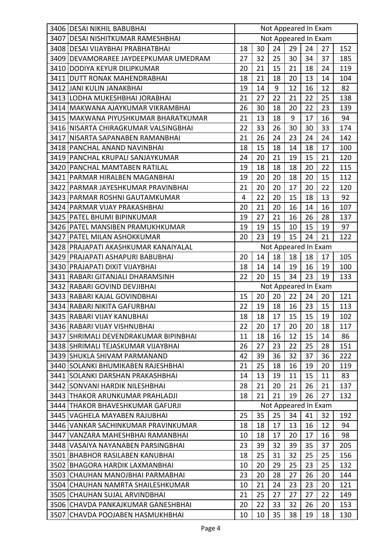| 3406 DESAI NIKHIL BABUBHAI             |                | Not Appeared In Exam |              |    |                      |    |     |
|----------------------------------------|----------------|----------------------|--------------|----|----------------------|----|-----|
| 3407 DESAI NISHITKUMAR RAMESHBHAI      |                |                      |              |    | Not Appeared In Exam |    |     |
| 3408 DESAI VIJAYBHAI PRABHATBHAI       | 18             | 30                   | 24           | 29 | 24                   | 27 | 152 |
| 3409 DEVAMORAREE JAYDEEPKUMAR UMEDRAM  | 27             | 32                   | 25           | 30 | 34                   | 37 | 185 |
| 3410 DODIYA KEYUR DILIPKUMAR           | 20             | 21                   | 15           | 21 | 18                   | 24 | 119 |
| 3411 DUTT RONAK MAHENDRABHAI           | 18             | 21                   | 18           | 20 | 13                   | 14 | 104 |
| 3412 JANI KULIN JANAKBHAI              | 19             | 14                   | 9            | 12 | 16                   | 12 | 82  |
| 3413 LODHA MUKESHBHAI JORABHAI         | 21             | 27                   | 22           | 21 | 22                   | 25 | 138 |
| 3414 MAKWANA AJAYKUMAR VIKRAMBHAI      | 26             | 30                   | 18           | 20 | 22                   | 23 | 139 |
| 3415   MAKWANA PIYUSHKUMAR BHARATKUMAR | 21             | 13                   | 18           | 9  | 17                   | 16 | 94  |
| 3416 NISARTA CHIRAGKUMAR VALSINGBHAI   | 22             | 33                   | 26           | 30 | 30                   | 33 | 174 |
| 3417 NISARTA SAPANABEN RAMANBHAI       | 21             | 26                   | 24           | 23 | 24                   | 24 | 142 |
| 3418 PANCHAL ANAND NAVINBHAI           | 18             | 15                   | 18           | 14 | 18                   | 17 | 100 |
| 3419 PANCHAL KRUPALI SANJAYKUMAR       | 24             | 20                   | 21           | 19 | 15                   | 21 | 120 |
| 3420 PANCHAL MAMTABEN RATILAL          | 19             | 18                   | 18           | 18 | 20                   | 22 | 115 |
| 3421   PARMAR HIRALBEN MAGANBHAI       | 19             | 20                   | 20           | 18 | 20                   | 15 | 112 |
| 3422 PARMAR JAYESHKUMAR PRAVINBHAI     | 21             | 20                   | 20           | 17 | 20                   | 22 | 120 |
| 3423 PARMAR ROSHNI GAUTAMKUMAR         | $\overline{4}$ | 22                   | 20           | 15 | 18                   | 13 | 92  |
| 3424 PARMAR VIJAY PRAKASHBHAI          | 20             | 21                   | 20           | 16 | 14                   | 16 | 107 |
| 3425 PATEL BHUMI BIPINKUMAR            | 19             | 27                   | 21           | 16 | 26                   | 28 | 137 |
| 3426   PATEL MANSIBEN PRAMUKHKUMAR     | 19             | 19                   | 15           | 10 | 15                   | 19 | 97  |
| 3427 PATEL MILAN ASHOKKUMAR            | 20             | 23                   | 19           | 15 | 24                   | 21 | 122 |
| 3428 PRAJAPATI AKASHKUMAR KANAIYALAL   |                |                      |              |    | Not Appeared In Exam |    |     |
| 3429   PRAJAPATI ASHAPURI BABUBHAI     | 20             | 14                   | 18           | 18 | 18                   | 17 | 105 |
| 3430 PRAJAPATI DIXIT VIJAYBHAI         | 18             | 14                   | 14           | 19 | 16                   | 19 | 100 |
| 3431 RABARI GITANJALI DHARAMSINH       | 22             | 20                   | 15           | 34 | 23                   | 19 | 133 |
| 3432 RABARI GOVIND DEVJIBHAI           |                |                      |              |    | Not Appeared In Exam |    |     |
| 3433 RABARI KAJAL GOVINDBHAI           | 15             | 20                   | 20           | 22 | 24                   | 20 | 121 |
| 3434 RABARI NIKITA GAFURBHAI           | 22             | 19                   | 18           | 16 | 23                   | 15 | 113 |
| 3435 RABARI VIJAY KANUBHAI             | 18             | 18                   | $\boxed{17}$ | 15 | $15$ 19              |    | 102 |
| 3436 RABARI VIJAY VISHNUBHAI           | 22             | 20                   | 17           | 20 | 20                   | 18 | 117 |
| 3437 ISHRIMALI DEVENDRAKUMAR BIPINBHAI | 11             | 18                   | 16           | 12 | 15                   | 14 | 86  |
| 3438 SHRIMALI TEJASKUMAR VIJAYBHAI     | 26             | 27                   | 23           | 22 | 25                   | 28 | 151 |
| 3439 ISHUKLA SHIVAM PARMANAND          | 42             | 39                   | 36           | 32 | 37                   | 36 | 222 |
| 3440 SOLANKI BHUMIKABEN RAJESHBHAI     | 21             | 25                   | 18           | 16 | 19                   | 20 | 119 |
| 3441 SOLANKI DARSHAN PRAKASHBHAI       | 14             | 13                   | 19           | 11 | 15                   | 11 | 83  |
| 3442 SONVANI HARDIK NILESHBHAI         | 28             | 21                   | 20           | 21 | 26                   | 21 | 137 |
| 3443 THAKOR ARUNKUMAR PRAHLADJI        | 18             | 21                   | 21           | 19 | 26                   | 27 | 132 |
| 3444 THAKOR BHAVESHKUMAR GAFURJI       |                |                      |              |    | Not Appeared In Exam |    |     |
| 3445 VAGHELA MAYABEN RAJUBHAI          | 25             | 35                   | 25           | 34 | 41                   | 32 | 192 |
| 3446 VANKAR SACHINKUMAR PRAVINKUMAR    | 18             | 18                   | 17           | 13 | 16                   | 12 | 94  |
| 3447 VANZARA MAHESHBHAI RAMANBHAI      | 10             | 18                   | 17           | 20 | 17                   | 16 | 98  |
| 3448 VASAIYA NAYANABEN PARSINGBHAI     | 23             | 39                   | 32           | 39 | 35                   | 37 | 205 |
| 3501 BHABHOR RASILABEN KANUBHAI        | 18             | 25                   | 31           | 32 | 25                   | 25 | 156 |
| 3502 BHAGORA HARDIK LAXMANBHAI         | 10             | 20                   | 29           | 25 | 23                   | 25 | 132 |
| 3503 CHAUHAN MANOJBHAI PARMABHAI       | 23             | 20                   | 28           | 27 | 26                   | 20 | 144 |
| 3504 ICHAUHAN NAMRTA SHAILESHKUMAR     | 10             | 21                   | 24           | 23 | 23                   | 20 | 121 |
| 3505 CHAUHAN SUJAL ARVINDBHAI          | 21             | 25                   | 27           | 27 | 27                   | 22 | 149 |
| 3506 CHAVDA PANKAJKUMAR GANESHBHAI     | 20             | 22                   | 33           | 32 | 26                   | 20 | 153 |
| 3507 CHAVDA POOJABEN HASMUKHBHAI       | 10             | 10                   | 35           | 38 | 19                   | 18 | 130 |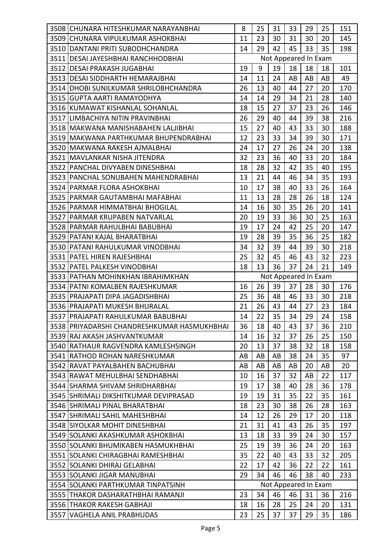| 3508 CHUNARA HITESHKUMAR NARAYANBHAI        | 8                    | 25              | 31              | 33       | 29                   | 25              | 151        |
|---------------------------------------------|----------------------|-----------------|-----------------|----------|----------------------|-----------------|------------|
| 3509 CHUNARA VIPULKUMAR ASHOKBHAI           | 11                   | 23              | 30              | 31       | 30                   | 20              | 145        |
| 3510 DANTANI PRITI SUBODHCHANDRA            | 14                   | 29              | 42              | 45       | 33                   | 35              | 198        |
| 3511 DESAI JAYESHBHAI RANCHHODBHAI          |                      |                 |                 |          | Not Appeared In Exam |                 |            |
| 3512 DESAI PRAKASH JUGABHAI                 | 19                   | 9               | 19              | 18       | 18                   | 18              | 101        |
| 3513   DESAI SIDDHARTH HEMARAJBHAI          | 14                   | 11              | 24              | AB       | AB                   | AB              | 49         |
| 3514   DHOBI SUNILKUMAR SHRILOBHCHANDRA     | 26                   | 13              | 40              | 44       | 27                   | 20              | 170        |
| 3515 GUPTA AARTI RAMAYODHYA                 | 14                   | 14              | 29              | 34       | 21                   | 28              | 140        |
| 3516 KUMAWAT KISHANLAL SOHANLAL             | 18                   | 15              | 27              | 37       | 23                   | 26              | 146        |
| 3517 LIMBACHIYA NITIN PRAVINBHAI            | 26                   | 29              | 40              | 44       | 39                   | 38              | 216        |
| 3518 MAKWANA MANISHABAHEN LALJIBHAI         | 15                   | 27              | 40              | 43       | 33                   | 30              | 188        |
| 3519   MAKWANA PARTHKUMAR BHUPENDRABHAI     | 12                   | 23              | 33              | 34       | 39                   | 30              | 171        |
| 3520  MAKWANA RAKESH AJMALBHAI              | 24                   | 17              | 27              | 26       | 24                   | 20              | 138        |
| 3521   MAVLANKAR NISHA JITENDRA             | 32                   | 23              | 36              | 40       | 33                   | 20              | 184        |
| 3522 PANCHAL DIVYABEN DINESHBHAI            | 18                   | 28              | 32              | 42       | 35                   | 40              | 195        |
| 3523 PANCHAL SONUBAHEN MAHENDRABHAI         | 13                   | 21              | 44              | 46       | 34                   | 35              | 193        |
| 3524 PARMAR FLORA ASHOKBHAI                 | 10                   | 17              | 38              | 40       | 33                   | 26              | 164        |
| 3525 PARMAR GAUTAMBHAI MAFABHAI             | 11                   | 13              | 28              | 28       | 26                   | 18              | 124        |
| 3526   PARMAR HIMMATBHAI BHOGILAL           | 14                   | 16              | 30              | 35       | 26                   | 20              | 141        |
| 3527   PARMAR KRUPABEN NATVARLAL            | 20                   | 19              | 33              | 36       | 30                   | 25              | 163        |
| 3528   PARMAR RAHULBHAI BABUBHAI            | 19                   | 17              | 24              | 42       | 25                   | 20              | 147        |
| 3529   PATANI KAJAL BHARATBHAI              | 19                   | 28              | 39              | 35       | 36                   | 25              | 182        |
| 3530 PATANI RAHULKUMAR VINODBHAI            | 34                   | 32              | 39              | 44       | 39                   | 30              | 218        |
| 3531   PATEL HIREN RAJESHBHAI               | 25                   | 32              | 45              | 46       | 43                   | 32              | 223        |
| 3532 PATEL PALKESH VINODBHAI                | 18                   | 13              | 36              | 37       | 24                   | 21              | 149        |
|                                             | Not Appeared In Exam |                 |                 |          |                      |                 |            |
| 3533 PATHAN MOHINKHAN IBRAHIMKHAN           |                      |                 |                 |          |                      |                 |            |
| 3534 PATNI KOMALBEN RAJESHKUMAR             | 16                   | 26              | 39              | 37       | 28                   | 30              | 176        |
| 3535 PRAJAPATI DIPA JAGADISHBHAI            | 25                   | 36              | 48              | 46       | 33                   | 30              | 218        |
| 3536   PRAJAPATI MUKESH BHURALAL            | 21                   | 26              | 43              | 44       | 27                   | 23              | 184        |
| 3537 PRAJAPATI RAHULKUMAR BABUBHAI          | 14                   | $\overline{22}$ | $\overline{35}$ | 34       | $\overline{29}$      | $\overline{24}$ | 158        |
| 3538 PRIYADARSHI CHANDRESHKUMAR HASMUKHBHAI | 36                   | 18              | 40              | 43       | 37                   | 36              | 210        |
| 3539 IRAJ AKASH JASHVANTKUMAR               | 14                   | 16              | 32              | 37       | 26                   | 25              | 150        |
| 3540 RATHAUR RAGVENDRA KAMLESHSINGH         | 20                   | 13              | 37              | 38       | 32                   | 18              | 158        |
| 3541 RATHOD ROHAN NARESHKUMAR               | AB                   | AB              | AB              | 38       | 24                   | 35              | 97         |
| 3542 RAVAT PAYALBAHEN BACHUBHAI             | AB                   | AB              | AB              | AB       | 20                   | AB              | 20         |
| 3543 RAWAT MEHULBHAI SENDHABHAI             | 10                   | 16              | 37              | 32       | AB                   | 22              | 117        |
| 3544 SHARMA SHIVAM SHRIDHARBHAI             | 19                   | 17              | 38              | 40       | 28                   | 36              | 178        |
| 3545 SHRIMALI DIKSHITKUMAR DEVIPRASAD       | 19                   | 19              | 31              | 35       | 22                   | 35              | 161        |
| 3546 SHRIMALI PINAL BHARATBHAI              | 18                   | 23              | 30              | 38       | 26                   | 28              | 163        |
| 3547   SHRIMALI SAHIL MAHESHBHAI            | 14                   | 12              | 26              | 29       | 17                   | 20              | 118        |
| 3548 SIYOLKAR MOHIT DINESHBHAI              | 21                   | 31              | 41              | 43       | 26                   | 35              | 197        |
| 3549 SOLANKI AKASHKUMAR ASHOKBHAI           | 13                   | 18              | 33              | 39       | 24                   | 30              | 157        |
| 3550 SOLANKI BHUMIKABEN HASMUKHBHAI         | 25                   | 19              | 39              | 36       | 24                   | 20              | 163        |
| 3551 SOLANKI CHIRAGBHAI RAMESHBHAI          | 35                   | 22              | 40              | 43       | 33                   | 32              | 205        |
| 3552 SOLANKI DHIRAJ GELABHAI                | 22                   | 17              | 42              | 36       | 22                   | 22              | 161        |
| 3553 SOLANKI JIGAR MANUBHAI                 | 29                   | 34              | 46              | 46       | 38                   | 40              | 233        |
| 3554 SOLANKI PARTHKUMAR TINPATSINH          |                      |                 |                 |          | Not Appeared In Exam |                 |            |
| 3555 THAKOR DASHARATHBHAI RAMANJI           | 23                   | 34              | 46              | 46       | 31                   | 36              | 216        |
| 3556 THAKOR RAKESH GABHAJI                  | 18<br>23             | 16<br>25        | 28<br>37        | 25<br>37 | 24<br>29             | 20<br>35        | 131<br>186 |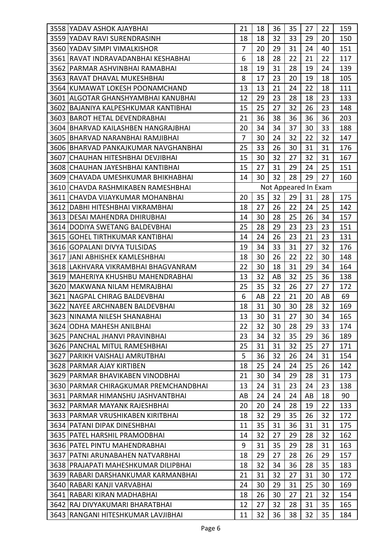| 3558 | YADAV ASHOK AJAYBHAI                   | 21             | 18 | 36 | 35 | 27                   | 22 | 159 |
|------|----------------------------------------|----------------|----|----|----|----------------------|----|-----|
|      | 3559 YADAV RAVI SURENDRASINH           | 18             | 18 | 32 | 33 | 29                   | 20 | 150 |
|      | 3560 YADAV SIMPI VIMALKISHOR           | $\overline{7}$ | 20 | 29 | 31 | 24                   | 40 | 151 |
|      | 3561 RAVAT INDRAVADANBHAI KESHABHAI    | 6              | 18 | 28 | 22 | 21                   | 22 | 117 |
|      | 3562 PARMAR ASHVINBHAI RAMABHAI        | 18             | 19 | 31 | 28 | 19                   | 24 | 139 |
|      | 3563 RAVAT DHAVAL MUKESHBHAI           | 8              | 17 | 23 | 20 | 19                   | 18 | 105 |
|      | 3564 KUMAWAT LOKESH POONAMCHAND        | 13             | 13 | 21 | 24 | 22                   | 18 | 111 |
|      | 3601   ALGOTAR GHANSHYAMBHAI KANUBHAI  | 12             | 29 | 23 | 28 | 18                   | 23 | 133 |
|      | 3602 BAJANIYA KALPESHKUMAR KANTIBHAI   | 15             | 25 | 27 | 32 | 26                   | 23 | 148 |
|      | 3603 BAROT HETAL DEVENDRABHAI          | 21             | 36 | 38 | 36 | 36                   | 36 | 203 |
|      | 3604 BHARVAD KAILASHBEN HANGRAJBHAI    | 20             | 34 | 34 | 37 | 30                   | 33 | 188 |
|      | 3605 BHARVAD NARANBHAI RAMJIBHAI       | $\overline{7}$ | 30 | 24 | 32 | 22                   | 32 | 147 |
|      | 3606 BHARVAD PANKAJKUMAR NAVGHANBHAI   | 25             | 33 | 26 | 30 | 31                   | 31 | 176 |
|      | 3607 CHAUHAN HITESHBHAI DEVJIBHAI      | 15             | 30 | 32 | 27 | 32                   | 31 | 167 |
|      | 3608 CHAUHAN JAYESHBHAI KANTIBHAI      | 15             | 27 | 31 | 29 | 24                   | 25 | 151 |
|      | 3609 CHAVADA UMESHKUMAR BHIKHABHAI     | 14             | 30 | 32 | 28 | 29                   | 27 | 160 |
|      | 3610 ICHAVDA RASHMIKABEN RAMESHBHAI    |                |    |    |    | Not Appeared In Exam |    |     |
|      | 3611 CHAVDA VIJAYKUMAR MOHANBHAI       | 20             | 35 | 32 | 29 | 31                   | 28 | 175 |
|      | 3612 DABHI HITESHBHAI VIKRAMBHAI       | 18             | 27 | 26 | 22 | 24                   | 25 | 142 |
|      | 3613 DESAI MAHENDRA DHIRUBHAI          | 14             | 30 | 28 | 25 | 26                   | 34 | 157 |
|      | 3614 DODIYA SWETANG BALDEVBHAI         | 25             | 28 | 29 | 23 | 23                   | 23 | 151 |
|      | 3615 GOHEL TIRTHKUMAR KANTIBHAI        | 14             | 24 | 26 | 23 | 21                   | 23 | 131 |
|      | 3616 GOPALANI DIVYA TULSIDAS           | 19             | 34 | 33 | 31 | 27                   | 32 | 176 |
|      | 3617 JJANI ABHISHEK KAMLESHBHAI        | 18             | 30 | 26 | 22 | 22                   | 30 | 148 |
|      | 3618 LAKHVARA VIKRAMBHAI BHAGVANRAM    | 22             | 30 | 18 | 31 | 29                   | 34 | 164 |
|      | 3619   MAHERIYA KHUSHBU MAHENDRABHAI   | 13             | 32 | AB | 32 | 25                   | 36 | 138 |
|      | 3620 MAKWANA NILAM HEMRAJBHAI          | 25             | 35 | 32 | 26 | 27                   | 27 | 172 |
|      | 3621 NAGPAL CHIRAG BALDEVBHAI          | 6              | AB | 22 | 21 | 20                   | AB | 69  |
|      | 3622 NAYEE ARCHNABEN BALDEVBHAI        | 18             | 31 | 30 | 30 | 28                   | 32 | 169 |
|      | 3623 NINAMA NILESH SHANABHAI           | 13             | 30 | 31 | 27 | 30                   | 34 | 165 |
|      | 3624 ODHA MAHESH ANILBHAI              | 22             | 32 | 30 | 28 | 29                   | 33 | 174 |
|      | 3625   PANCHAL JHANVI PRAVINBHAI       | 23             | 34 | 32 | 35 | 29                   | 36 | 189 |
|      | 3626 PANCHAL MITUL RAMESHBHAI          | 25             | 31 | 31 | 32 | 25                   | 27 | 171 |
|      | 3627 PARIKH VAISHALI AMRUTBHAI         | 5              | 36 | 32 | 26 | 24                   | 31 | 154 |
|      | 3628 PARMAR AJAY KIRTIBEN              | 18             | 25 | 24 | 24 | 25                   | 26 | 142 |
|      | 3629 PARMAR BHAVIKABEN VINODBHAI       | 21             | 30 | 34 | 29 | 28                   | 31 | 173 |
|      | 3630 IPARMAR CHIRAGKUMAR PREMCHANDBHAI | 13             | 24 | 31 | 23 | 24                   | 23 | 138 |
|      | 3631 PARMAR HIMANSHU JASHVANTBHAI      | AB             | 24 | 24 | 24 | AB                   | 18 | 90  |
|      | 3632 PARMAR MAYANK RAJESHBHAI          | 20             | 20 | 24 | 28 | 19                   | 22 | 133 |
|      | 3633   PARMAR VRUSHIKABEN KIRITBHAI    | 18             | 32 | 29 | 35 | 26                   | 32 | 172 |
|      | 3634 PATANI DIPAK DINESHBHAI           | 11             | 35 | 31 | 36 | 31                   | 31 | 175 |
|      | 3635   PATEL HARSHIL PRAMODBHAI        | 14             | 32 | 27 | 29 | 28                   | 32 | 162 |
|      | 3636   PATEL PINTU MAHENDRABHAI        | 9              | 31 | 35 | 29 | 28                   | 31 | 163 |
|      | 3637   PATNI ARUNABAHEN NATVARBHAI     | 18             | 29 | 27 | 28 | 26                   | 29 | 157 |
|      | 3638 PRAJAPATI MAHESHKUMAR DILIPBHAI   | 18             | 32 | 34 | 36 | 28                   | 35 | 183 |
|      | 3639 RABARI DARSHANKUMAR KARMANBHAI    | 21             | 31 | 32 | 27 | 31                   | 30 | 172 |
|      | 3640 RABARI KANJI VARVABHAI            | 24             | 30 | 29 | 31 | 25                   | 30 | 169 |
|      | 3641 RABARI KIRAN MADHABHAI            | 18             | 26 | 30 | 27 | 21                   | 32 | 154 |
|      | 3642 RAJ DIVYAKUMARI BHARATBHAI        | 12             | 27 | 32 | 28 | 31                   | 35 | 165 |
| 3643 | RANGANI HITESHKUMAR LAVJIBHAI          | 11             | 32 | 36 | 38 | 32                   | 35 | 184 |